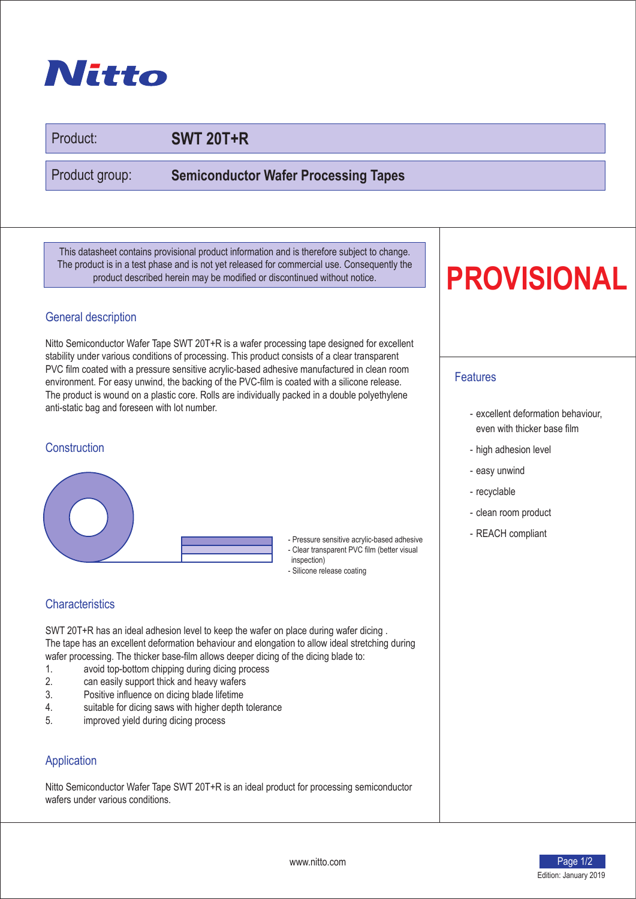## Nitto

Product:

## **SWT 20T+R**

Product group:

**Semiconductor Wafer Processing Tapes**

This datasheet contains provisional product information and is therefore subject to change. The product is in a test phase and is not yet released for commercial use. Consequently the product described herein may be modified or discontinued without notice.

## General description

Nitto Semiconductor Wafer Tape SWT 20T+R is a wafer processing tape designed for excellent stability under various conditions of processing. This product consists of a clear transparent PVC film coated with a pressure sensitive acrylic-based adhesive manufactured in clean room environment. For easy unwind, the backing of the PVC-film is coated with a silicone release. The product is wound on a plastic core. Rolls are individually packed in a double polyethylene anti-static bag and foreseen with lot number.

#### **Construction**



- Pressure sensitive acrylic-based adhesive | REACH compliant
- Clear transparent PVC film (better visual inspection)
- Silicone release coating

## **Characteristics**

SWT 20T+R has an ideal adhesion level to keep the wafer on place during wafer dicing . The tape has an excellent deformation behaviour and elongation to allow ideal stretching during wafer processing. The thicker base-film allows deeper dicing of the dicing blade to:

- 1. avoid top-bottom chipping during dicing process
- 2. can easily support thick and heavy wafers<br>3. Positive influence on dicing blade lifetime
- Positive influence on dicing blade lifetime
- 4. suitable for dicing saws with higher depth tolerance<br>5. The improved vield during dicing process
- improved yield during dicing process

### **Application**

Nitto Semiconductor Wafer Tape SWT 20T+R is an ideal product for processing semiconductor wafers under various conditions.

# **PROVISIONAL**

### Features

- excellent deformation behaviour, even with thicker base film
- high adhesion level
- easy unwind
- recyclable
- clean room product
-